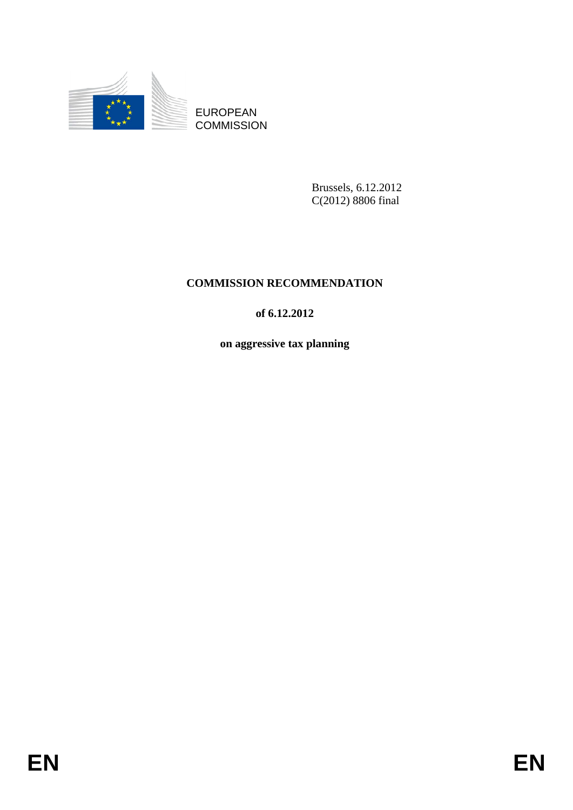

EUROPEAN **COMMISSION** 

> Brussels, 6.12.2012 C(2012) 8806 final

# **COMMISSION RECOMMENDATION**

## **of 6.12.2012**

**on aggressive tax planning**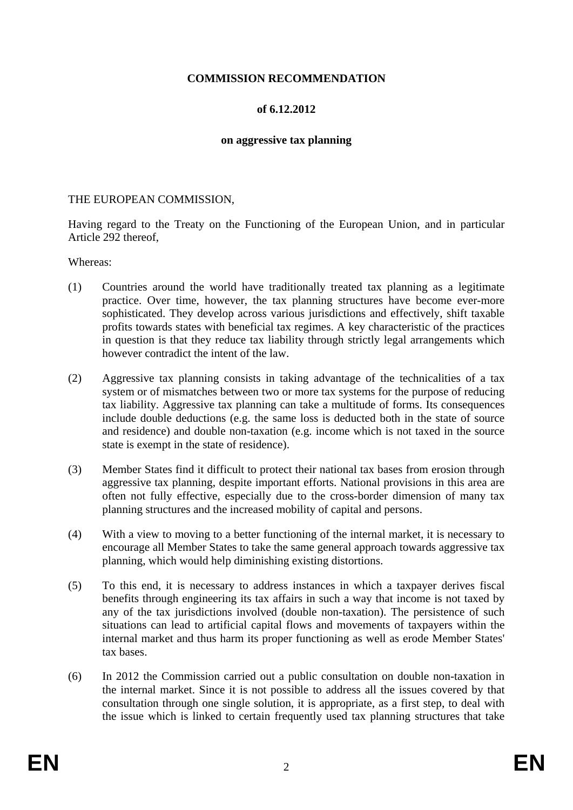## **COMMISSION RECOMMENDATION**

### **of 6.12.2012**

#### **on aggressive tax planning**

#### THE EUROPEAN COMMISSION,

Having regard to the Treaty on the Functioning of the European Union, and in particular Article 292 thereof,

#### Whereas:

- (1) Countries around the world have traditionally treated tax planning as a legitimate practice. Over time, however, the tax planning structures have become ever-more sophisticated. They develop across various jurisdictions and effectively, shift taxable profits towards states with beneficial tax regimes. A key characteristic of the practices in question is that they reduce tax liability through strictly legal arrangements which however contradict the intent of the law.
- (2) Aggressive tax planning consists in taking advantage of the technicalities of a tax system or of mismatches between two or more tax systems for the purpose of reducing tax liability. Aggressive tax planning can take a multitude of forms. Its consequences include double deductions (e.g. the same loss is deducted both in the state of source and residence) and double non-taxation (e.g. income which is not taxed in the source state is exempt in the state of residence).
- (3) Member States find it difficult to protect their national tax bases from erosion through aggressive tax planning, despite important efforts. National provisions in this area are often not fully effective, especially due to the cross-border dimension of many tax planning structures and the increased mobility of capital and persons.
- (4) With a view to moving to a better functioning of the internal market, it is necessary to encourage all Member States to take the same general approach towards aggressive tax planning, which would help diminishing existing distortions.
- (5) To this end, it is necessary to address instances in which a taxpayer derives fiscal benefits through engineering its tax affairs in such a way that income is not taxed by any of the tax jurisdictions involved (double non-taxation). The persistence of such situations can lead to artificial capital flows and movements of taxpayers within the internal market and thus harm its proper functioning as well as erode Member States' tax bases.
- (6) In 2012 the Commission carried out a public consultation on double non-taxation in the internal market. Since it is not possible to address all the issues covered by that consultation through one single solution, it is appropriate, as a first step, to deal with the issue which is linked to certain frequently used tax planning structures that take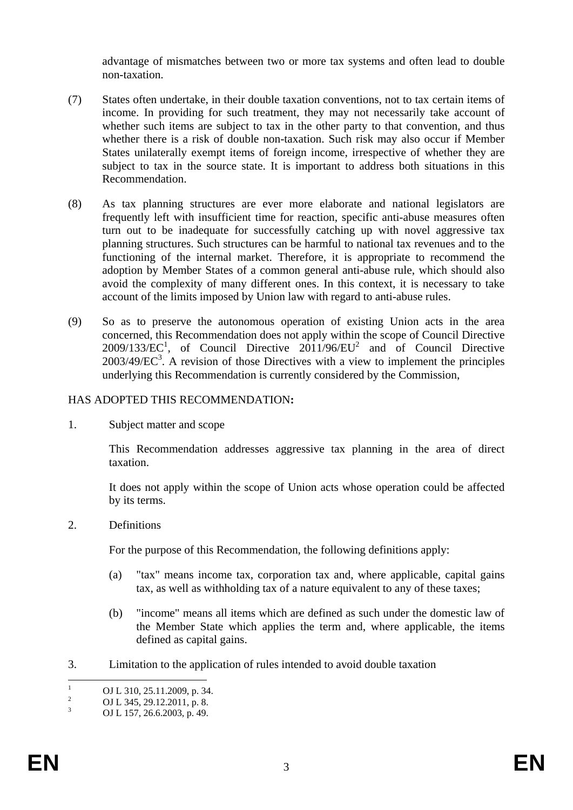advantage of mismatches between two or more tax systems and often lead to double non-taxation.

- (7) States often undertake, in their double taxation conventions, not to tax certain items of income. In providing for such treatment, they may not necessarily take account of whether such items are subject to tax in the other party to that convention, and thus whether there is a risk of double non-taxation. Such risk may also occur if Member States unilaterally exempt items of foreign income, irrespective of whether they are subject to tax in the source state. It is important to address both situations in this Recommendation.
- (8) As tax planning structures are ever more elaborate and national legislators are frequently left with insufficient time for reaction, specific anti-abuse measures often turn out to be inadequate for successfully catching up with novel aggressive tax planning structures. Such structures can be harmful to national tax revenues and to the functioning of the internal market. Therefore, it is appropriate to recommend the adoption by Member States of a common general anti-abuse rule, which should also avoid the complexity of many different ones. In this context, it is necessary to take account of the limits imposed by Union law with regard to anti-abuse rules.
- (9) So as to preserve the autonomous operation of existing Union acts in the area concerned, this Recommendation does not apply within the scope of Council Directive  $2009/133/EC<sup>1</sup>$ , of Council Directive  $2011/96/EU<sup>2</sup>$  and of Council Directive  $2003/49/EC^3$ . A revision of those Directives with a view to implement the principles underlying this Recommendation is currently considered by the Commission,

## HAS ADOPTED THIS RECOMMENDATION**:**

1. Subject matter and scope

This Recommendation addresses aggressive tax planning in the area of direct taxation.

It does not apply within the scope of Union acts whose operation could be affected by its terms.

2. Definitions

For the purpose of this Recommendation, the following definitions apply:

- (a) "tax" means income tax, corporation tax and, where applicable, capital gains tax, as well as withholding tax of a nature equivalent to any of these taxes;
- (b) "income" means all items which are defined as such under the domestic law of the Member State which applies the term and, where applicable, the items defined as capital gains.
- 3. Limitation to the application of rules intended to avoid double taxation

 $\frac{1}{1}$ OJ L 310, 25.11.2009, p. 34.

<sup>2</sup> OJ L 345, 29.12.2011, p. 8.

<sup>3</sup> OJ L 157, 26.6.2003, p. 49.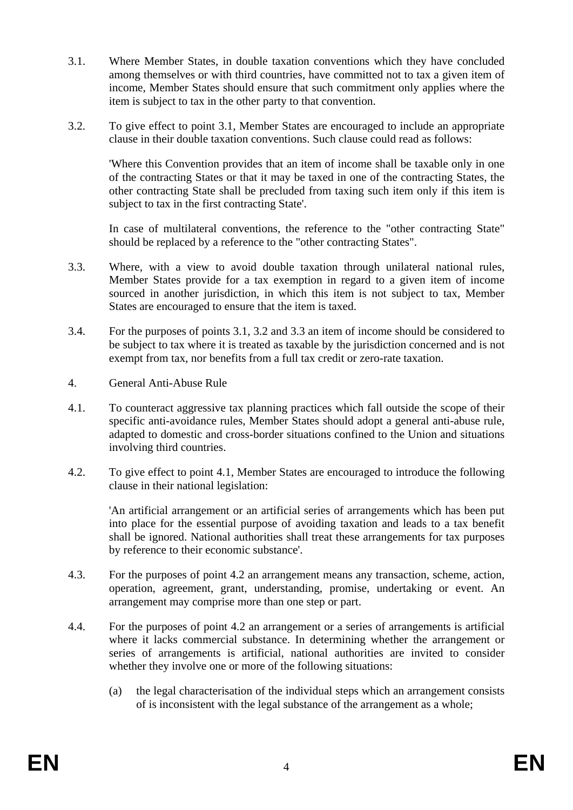- 3.1. Where Member States, in double taxation conventions which they have concluded among themselves or with third countries, have committed not to tax a given item of income, Member States should ensure that such commitment only applies where the item is subject to tax in the other party to that convention.
- 3.2. To give effect to point 3.1, Member States are encouraged to include an appropriate clause in their double taxation conventions. Such clause could read as follows:

'Where this Convention provides that an item of income shall be taxable only in one of the contracting States or that it may be taxed in one of the contracting States, the other contracting State shall be precluded from taxing such item only if this item is subject to tax in the first contracting State'.

In case of multilateral conventions, the reference to the "other contracting State" should be replaced by a reference to the "other contracting States".

- 3.3. Where, with a view to avoid double taxation through unilateral national rules, Member States provide for a tax exemption in regard to a given item of income sourced in another jurisdiction, in which this item is not subject to tax, Member States are encouraged to ensure that the item is taxed.
- 3.4. For the purposes of points 3.1, 3.2 and 3.3 an item of income should be considered to be subject to tax where it is treated as taxable by the jurisdiction concerned and is not exempt from tax, nor benefits from a full tax credit or zero-rate taxation.
- 4. General Anti-Abuse Rule
- 4.1. To counteract aggressive tax planning practices which fall outside the scope of their specific anti-avoidance rules, Member States should adopt a general anti-abuse rule, adapted to domestic and cross-border situations confined to the Union and situations involving third countries.
- 4.2. To give effect to point 4.1, Member States are encouraged to introduce the following clause in their national legislation:

'An artificial arrangement or an artificial series of arrangements which has been put into place for the essential purpose of avoiding taxation and leads to a tax benefit shall be ignored. National authorities shall treat these arrangements for tax purposes by reference to their economic substance'.

- 4.3. For the purposes of point 4.2 an arrangement means any transaction, scheme, action, operation, agreement, grant, understanding, promise, undertaking or event. An arrangement may comprise more than one step or part.
- 4.4. For the purposes of point 4.2 an arrangement or a series of arrangements is artificial where it lacks commercial substance. In determining whether the arrangement or series of arrangements is artificial, national authorities are invited to consider whether they involve one or more of the following situations:
	- (a) the legal characterisation of the individual steps which an arrangement consists of is inconsistent with the legal substance of the arrangement as a whole;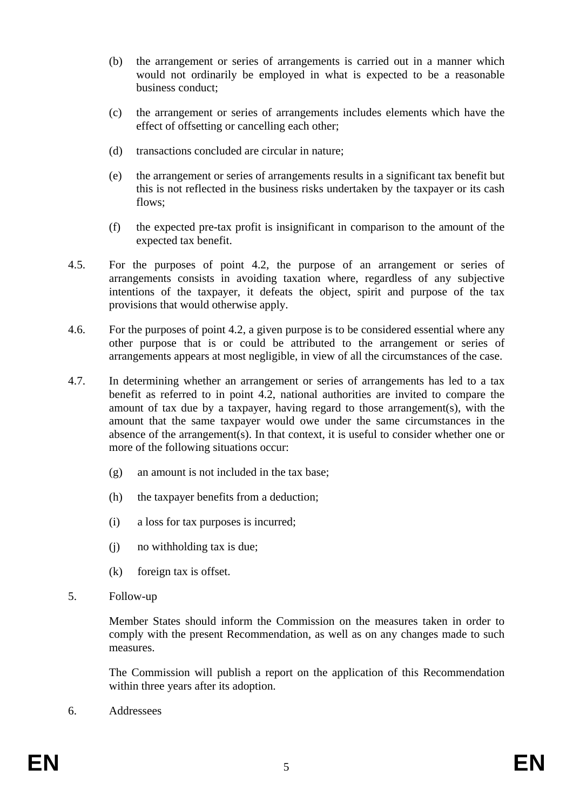- (b) the arrangement or series of arrangements is carried out in a manner which would not ordinarily be employed in what is expected to be a reasonable business conduct;
- (c) the arrangement or series of arrangements includes elements which have the effect of offsetting or cancelling each other;
- (d) transactions concluded are circular in nature;
- (e) the arrangement or series of arrangements results in a significant tax benefit but this is not reflected in the business risks undertaken by the taxpayer or its cash flows;
- (f) the expected pre-tax profit is insignificant in comparison to the amount of the expected tax benefit.
- 4.5. For the purposes of point 4.2, the purpose of an arrangement or series of arrangements consists in avoiding taxation where, regardless of any subjective intentions of the taxpayer, it defeats the object, spirit and purpose of the tax provisions that would otherwise apply.
- 4.6. For the purposes of point 4.2, a given purpose is to be considered essential where any other purpose that is or could be attributed to the arrangement or series of arrangements appears at most negligible, in view of all the circumstances of the case.
- 4.7. In determining whether an arrangement or series of arrangements has led to a tax benefit as referred to in point 4.2, national authorities are invited to compare the amount of tax due by a taxpayer, having regard to those arrangement(s), with the amount that the same taxpayer would owe under the same circumstances in the absence of the arrangement(s). In that context, it is useful to consider whether one or more of the following situations occur:
	- (g) an amount is not included in the tax base;
	- (h) the taxpayer benefits from a deduction;
	- (i) a loss for tax purposes is incurred;
	- (j) no withholding tax is due;
	- (k) foreign tax is offset.
- 5. Follow-up

Member States should inform the Commission on the measures taken in order to comply with the present Recommendation, as well as on any changes made to such measures.

The Commission will publish a report on the application of this Recommendation within three years after its adoption.

6. Addressees